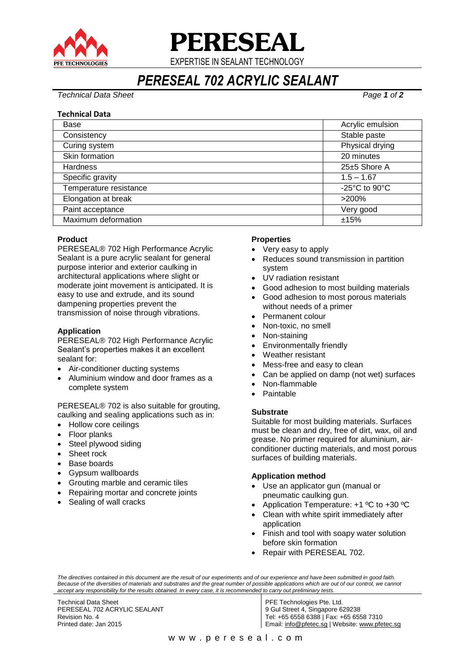

**PERESEAL**

EXPERTISE IN SEALANT TECHNOLOGY

*PERESEAL 702 ACRYLIC SEALANT*

*Technical Data Sheet Page 1 of 2*

#### **Technical Data**

| Base                   | Acrylic emulsion                                    |
|------------------------|-----------------------------------------------------|
| Consistency            | Stable paste                                        |
| Curing system          | Physical drying                                     |
| Skin formation         | 20 minutes                                          |
| <b>Hardness</b>        | 25±5 Shore A                                        |
| Specific gravity       | $1.5 - 1.67$                                        |
| Temperature resistance | -25 $\mathrm{^{\circ}C}$ to 90 $\mathrm{^{\circ}C}$ |
| Elongation at break    | $>200\%$                                            |
| Paint acceptance       | Very good                                           |
| Maximum deformation    | ±15%                                                |

# **Product**

PERESEAL® 702 High Performance Acrylic Sealant is a pure acrylic sealant for general purpose interior and exterior caulking in architectural applications where slight or moderate joint movement is anticipated. It is easy to use and extrude, and its sound dampening properties prevent the transmission of noise through vibrations.

## **Application**

PERESEAL® 702 High Performance Acrylic Sealant's properties makes it an excellent sealant for:

- Air-conditioner ducting systems
- Aluminium window and door frames as a complete system

PERESEAL® 702 is also suitable for grouting, caulking and sealing applications such as in:

- Hollow core ceilings
- Floor planks
- Steel plywood siding
- Sheet rock
- Base boards
- Gypsum wallboards
- Grouting marble and ceramic tiles
- Repairing mortar and concrete joints
- Sealing of wall cracks

#### **Properties**

- Very easy to apply
- Reduces sound transmission in partition system
- UV radiation resistant
- Good adhesion to most building materials
- Good adhesion to most porous materials without needs of a primer
- Permanent colour
- Non-toxic, no smell
- Non-staining
- Environmentally friendly
- Weather resistant
- Mess-free and easy to clean
- Can be applied on damp (not wet) surfaces
- Non-flammable
- Paintable

#### **Substrate**

Suitable for most building materials. Surfaces must be clean and dry, free of dirt, wax, oil and grease. No primer required for aluminium, airconditioner ducting materials, and most porous surfaces of building materials.

#### **Application method**

- Use an applicator gun (manual or pneumatic caulking gun.
- Application Temperature: +1 ºC to +30 ºC
- Clean with white spirit immediately after application
- Finish and tool with soapy water solution before skin formation
- Repair with PERESEAL 702.

*The directives contained in this document are the result of our experiments and of our experience and have been submitted in good faith. Because of the diversities of materials and substrates and the great number of possible applications which are out of our control, we cannot accept any responsibility for the results obtained. In every case, it is recommended to carry out preliminary tests.*

Technical Data Sheet PERESEAL 702 ACRYLIC SEALANT Revision No. 4 Printed date: Jan 2015

PFE Technologies Pte. Ltd. 9 Gul Street 4, Singapore 629238 Tel: +65 6558 6388 | Fax: +65 6558 7310 Email: [info@pfetec.sg](mailto:info@pfetec.sg) | Website: www.pfetec.sg